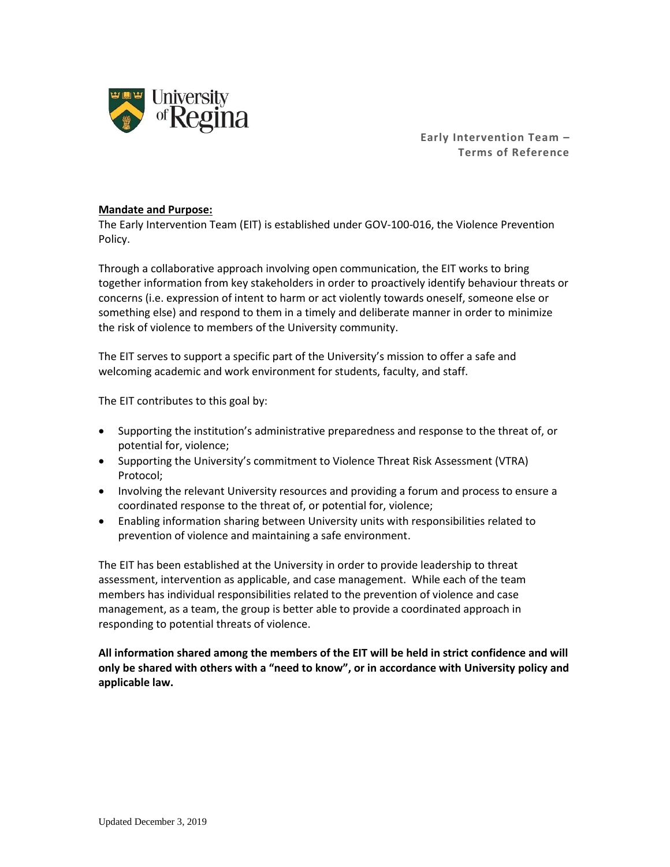

**Early Intervention Team – Terms of Reference**

### **Mandate and Purpose:**

The Early Intervention Team (EIT) is established under GOV-100-016, the Violence Prevention Policy.

Through a collaborative approach involving open communication, the EIT works to bring together information from key stakeholders in order to proactively identify behaviour threats or concerns (i.e. expression of intent to harm or act violently towards oneself, someone else or something else) and respond to them in a timely and deliberate manner in order to minimize the risk of violence to members of the University community.

The EIT serves to support a specific part of the University's mission to offer a safe and welcoming academic and work environment for students, faculty, and staff.

The EIT contributes to this goal by:

- Supporting the institution's administrative preparedness and response to the threat of, or potential for, violence;
- Supporting the University's commitment to Violence Threat Risk Assessment (VTRA) Protocol;
- Involving the relevant University resources and providing a forum and process to ensure a coordinated response to the threat of, or potential for, violence;
- Enabling information sharing between University units with responsibilities related to prevention of violence and maintaining a safe environment.

The EIT has been established at the University in order to provide leadership to threat assessment, intervention as applicable, and case management. While each of the team members has individual responsibilities related to the prevention of violence and case management, as a team, the group is better able to provide a coordinated approach in responding to potential threats of violence.

**All information shared among the members of the EIT will be held in strict confidence and will only be shared with others with a "need to know", or in accordance with University policy and applicable law.**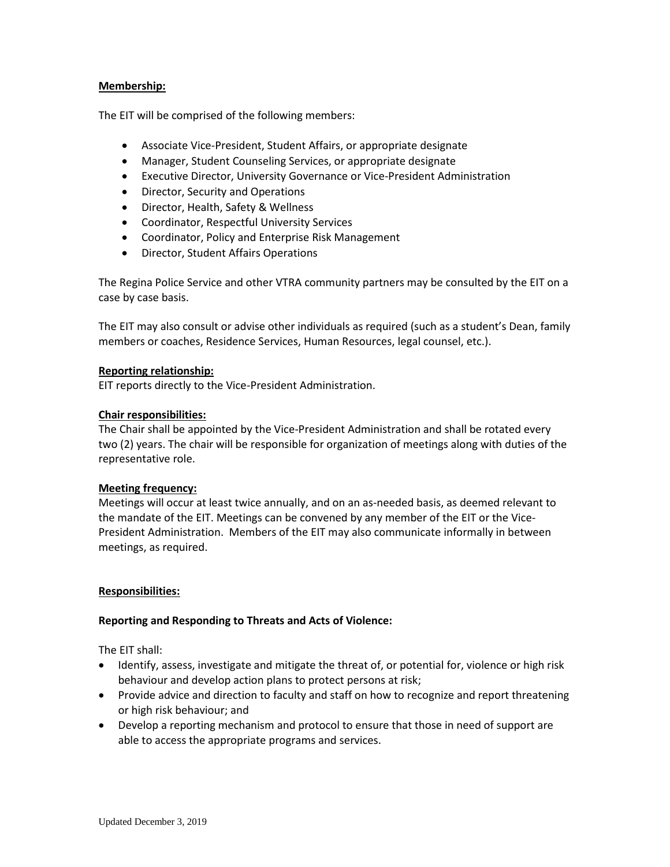# **Membership:**

The EIT will be comprised of the following members:

- Associate Vice-President, Student Affairs, or appropriate designate
- Manager, Student Counseling Services, or appropriate designate
- Executive Director, University Governance or Vice-President Administration
- Director, Security and Operations
- Director, Health, Safety & Wellness
- Coordinator, Respectful University Services
- Coordinator, Policy and Enterprise Risk Management
- Director, Student Affairs Operations

The Regina Police Service and other VTRA community partners may be consulted by the EIT on a case by case basis.

The EIT may also consult or advise other individuals as required (such as a student's Dean, family members or coaches, Residence Services, Human Resources, legal counsel, etc.).

### **Reporting relationship:**

EIT reports directly to the Vice-President Administration.

# **Chair responsibilities:**

The Chair shall be appointed by the Vice-President Administration and shall be rotated every two (2) years. The chair will be responsible for organization of meetings along with duties of the representative role.

# **Meeting frequency:**

Meetings will occur at least twice annually, and on an as-needed basis, as deemed relevant to the mandate of the EIT. Meetings can be convened by any member of the EIT or the Vice-President Administration. Members of the EIT may also communicate informally in between meetings, as required.

#### **Responsibilities:**

#### **Reporting and Responding to Threats and Acts of Violence:**

The EIT shall:

- Identify, assess, investigate and mitigate the threat of, or potential for, violence or high risk behaviour and develop action plans to protect persons at risk;
- Provide advice and direction to faculty and staff on how to recognize and report threatening or high risk behaviour; and
- Develop a reporting mechanism and protocol to ensure that those in need of support are able to access the appropriate programs and services.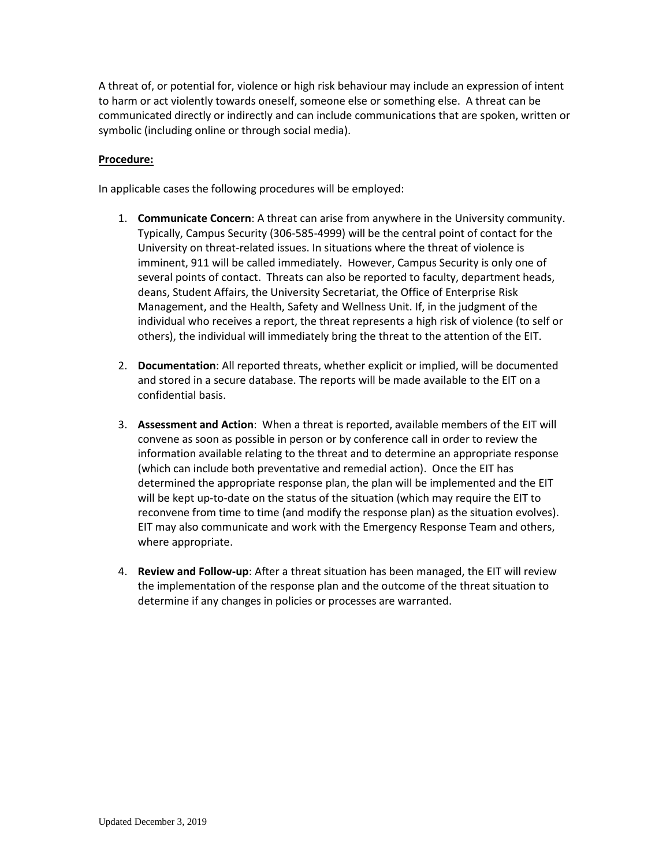A threat of, or potential for, violence or high risk behaviour may include an expression of intent to harm or act violently towards oneself, someone else or something else. A threat can be communicated directly or indirectly and can include communications that are spoken, written or symbolic (including online or through social media).

# **Procedure:**

In applicable cases the following procedures will be employed:

- 1. **Communicate Concern**: A threat can arise from anywhere in the University community. Typically, Campus Security (306-585-4999) will be the central point of contact for the University on threat-related issues. In situations where the threat of violence is imminent, 911 will be called immediately. However, Campus Security is only one of several points of contact. Threats can also be reported to faculty, department heads, deans, Student Affairs, the University Secretariat, the Office of Enterprise Risk Management, and the Health, Safety and Wellness Unit. If, in the judgment of the individual who receives a report, the threat represents a high risk of violence (to self or others), the individual will immediately bring the threat to the attention of the EIT.
- 2. **Documentation**: All reported threats, whether explicit or implied, will be documented and stored in a secure database. The reports will be made available to the EIT on a confidential basis.
- 3. **Assessment and Action**: When a threat is reported, available members of the EIT will convene as soon as possible in person or by conference call in order to review the information available relating to the threat and to determine an appropriate response (which can include both preventative and remedial action). Once the EIT has determined the appropriate response plan, the plan will be implemented and the EIT will be kept up-to-date on the status of the situation (which may require the EIT to reconvene from time to time (and modify the response plan) as the situation evolves). EIT may also communicate and work with the Emergency Response Team and others, where appropriate.
- 4. **Review and Follow-up**: After a threat situation has been managed, the EIT will review the implementation of the response plan and the outcome of the threat situation to determine if any changes in policies or processes are warranted.